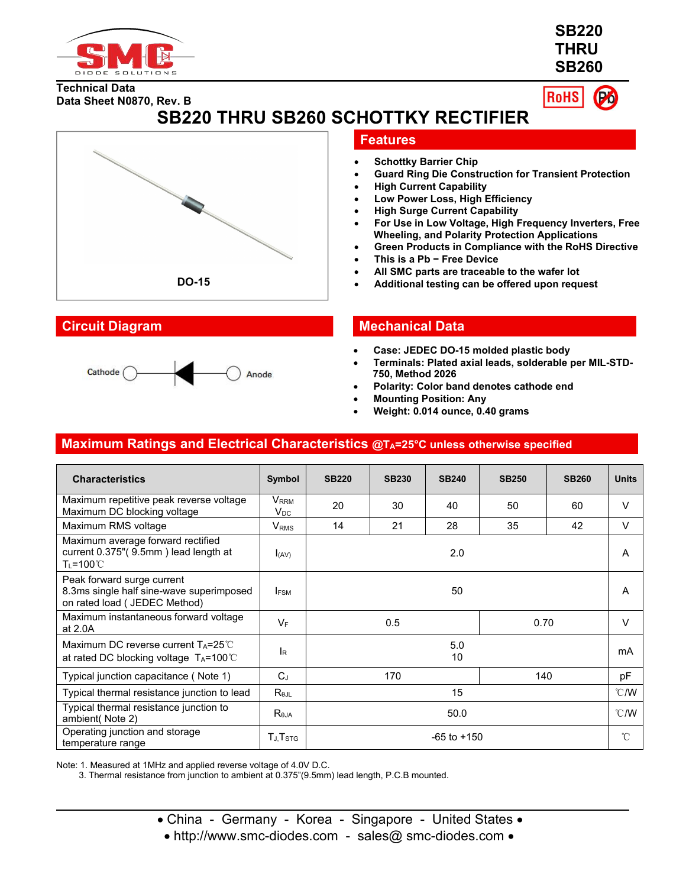

**SB220 THRU SB260**

**Technical Data Data Sheet N0870, Rev. B**



**SB220 THRU SB260 SCHOTTKY RECTIFIER**





### **Features**

- **Schottky Barrier Chip**
- **Guard Ring Die Construction for Transient Protection**
- **High Current Capability**
- **Low Power Loss, High Efficiency**
- **High Surge Current Capability**
- **For Use in Low Voltage, High Frequency Inverters, Free Wheeling, and Polarity Protection Applications**
- **Green Products in Compliance with the RoHS Directive**
- **This is a Pb − Free Device**
- **All SMC parts are traceable to the wafer lot**
- **DO-15 Additional testing can be offered upon request**

## **Circuit Diagram Mechanical Data**

- **Case: JEDEC DO-15 molded plastic body**
- **Terminals: Plated axial leads, solderable per MIL-STD- 750, Method 2026**
- **Polarity: Color band denotes cathode end**
- **Mounting Position: Any**
- **Weight: 0.014 ounce, 0.40 grams**

## **Maximum Ratings and Electrical Characteristics @TA=25°C unless otherwise specified**

| <b>Characteristics</b>                                                                                  | Symbol                       | <b>SB220</b>    | <b>SB230</b> | <b>SB240</b> | <b>SB250</b> | <b>SB260</b>  | <b>Units</b> |
|---------------------------------------------------------------------------------------------------------|------------------------------|-----------------|--------------|--------------|--------------|---------------|--------------|
| Maximum repetitive peak reverse voltage<br>Maximum DC blocking voltage                                  | V <sub>RRM</sub><br>$V_{DC}$ | 20              | 30           | 40           | 50           | 60            | $\vee$       |
| Maximum RMS voltage                                                                                     | $\mathsf{V}_{\mathsf{RMS}}$  | 14              | 21           | 28           | 35           | 42            | V            |
| Maximum average forward rectified<br>current 0.375"(9.5mm) lead length at<br>T∟=100℃                    | $I_{(AV)}$                   | 2.0             |              |              |              | A             |              |
| Peak forward surge current<br>8.3ms single half sine-wave superimposed<br>on rated load ( JEDEC Method) | <b>IFSM</b>                  | 50              |              |              |              | A             |              |
| Maximum instantaneous forward voltage<br>at 2.0A                                                        | $V_F$                        | 0.5<br>0.70     |              |              |              | $\vee$        |              |
| Maximum DC reverse current $T_A = 25^{\circ}$ C<br>at rated DC blocking voltage TA=100℃                 | l <sub>R</sub>               | 5.0<br>10       |              |              |              | mA            |              |
| Typical junction capacitance (Note 1)                                                                   | $C_{\perp}$                  | 140<br>170      |              |              |              | pF            |              |
| Typical thermal resistance junction to lead                                                             | $R_{\theta JL}$              | 15              |              |              |              | $\degree$ C/W |              |
| Typical thermal resistance junction to<br>ambient(Note 2)                                               | $R_{\theta$ JA               | 50.0            |              |              |              | $\degree$ C/W |              |
| Operating junction and storage<br>temperature range                                                     | $T_{J}$ , $T_{STG}$          | $-65$ to $+150$ |              |              |              | $^{\circ}$ C  |              |

Note: 1. Measured at 1MHz and applied reverse voltage of 4.0V D.C.

3. Thermal resistance from junction to ambient at 0.375"(9.5mm) lead length, P.C.B mounted.

- China Germany Korea Singapore United States •
- http://www.smc-diodes.com sales@ smc-diodes.com •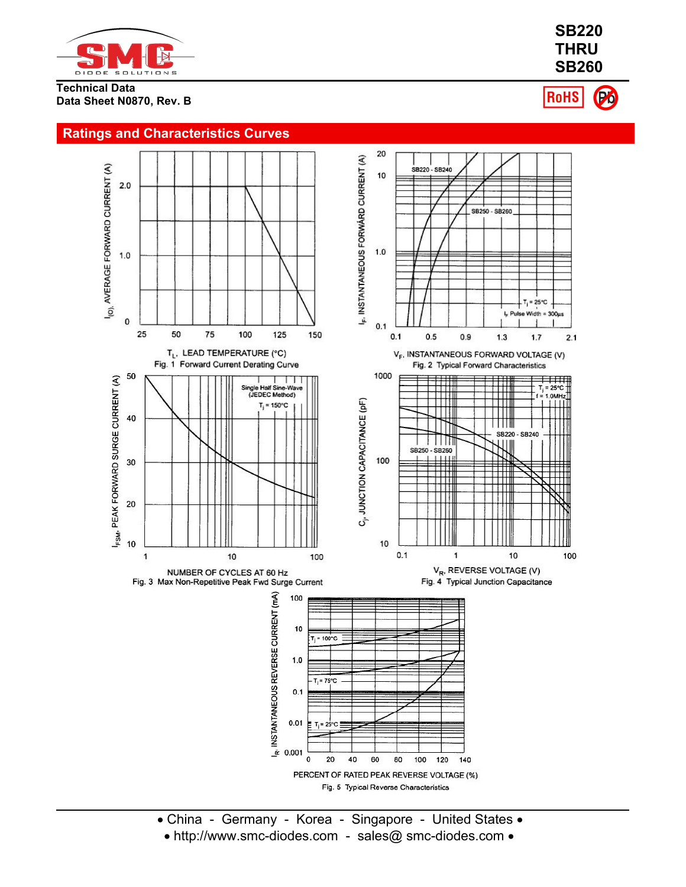

#### **Technical Data Data Sheet N0870, Rev. B**

**SB220 THRU SB260 RoHS** 

Pó



PERCENT OF RATED PEAK REVERSE VOLTAGE (%) Fig. 5 Typical Reverse Characteristics

- China Germany Korea Singapore United States
- http://www.smc-diodes.com sales@ smc-diodes.com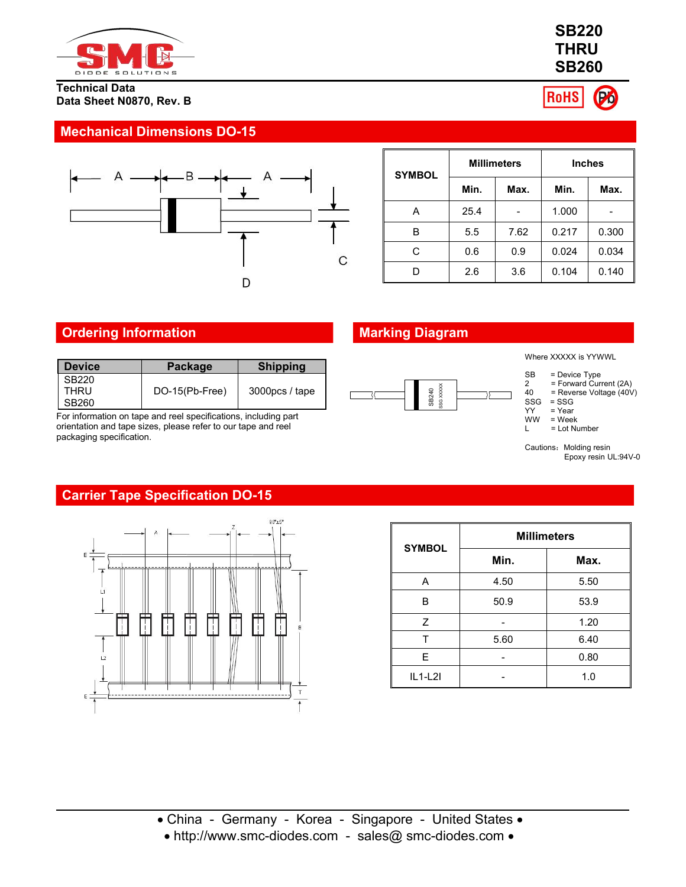

### **Technical Data Data Sheet N0870, Rev. B**

## **Mechanical Dimensions DO-15**



| <b>SYMBOL</b> | <b>Millimeters</b> |      | <b>Inches</b> |       |  |
|---------------|--------------------|------|---------------|-------|--|
|               | Min.               | Max. | Min.          | Max.  |  |
| Α             | 25.4               |      | 1.000         |       |  |
| В             | 5.5                | 7.62 | 0.217         | 0.300 |  |
| С             | 0.6                | 0.9  | 0.024         | 0.034 |  |
| D             | 2.6                | 3.6  | 0.104         | 0.140 |  |

## **Ordering Information Marking Diagram**

| <b>Device</b>          | <b>Package</b> | <b>Shipping</b> |  |       |
|------------------------|----------------|-----------------|--|-------|
| SB220<br>THRU<br>SB260 | DO-15(Pb-Free) | 3000pcs / tape  |  | SB240 |

For information on tape and reel specifications, including part orientation and tape sizes, please refer to our tape and reel packaging specification.



Where XXXXX is YYWWL

- SB = Device Type
- 2 = Forward Current (2A)
- $40$  = Reverse Voltage  $(40V)$ <br>SSG = SSG
- SSG = SSG<br>YY = Year
- YY = Year<br>WW = Weel  $\begin{array}{ll}\n\text{WW} & = \text{Week} \\
\text{L} & = \text{Lot Nu}\n\end{array}$ 
	- = Lot Number

Cautions: Molding resin<br>Epoxy resin UL:94V-0

# **Carrier Tape Specification DO-15**



| <b>SYMBOL</b>  | <b>Millimeters</b> |      |  |  |
|----------------|--------------------|------|--|--|
|                | Min.               | Max. |  |  |
| A              | 4.50               | 5.50 |  |  |
| B              | 50.9               | 53.9 |  |  |
| $\overline{z}$ |                    | 1.20 |  |  |
|                | 5.60               | 6.40 |  |  |
| E.             |                    | 0.80 |  |  |
| $IL1-L2I$      |                    | 1.0  |  |  |

http://www.smc-diodes.com - sales@ smc-diodes.com



Pó

**RoHS**